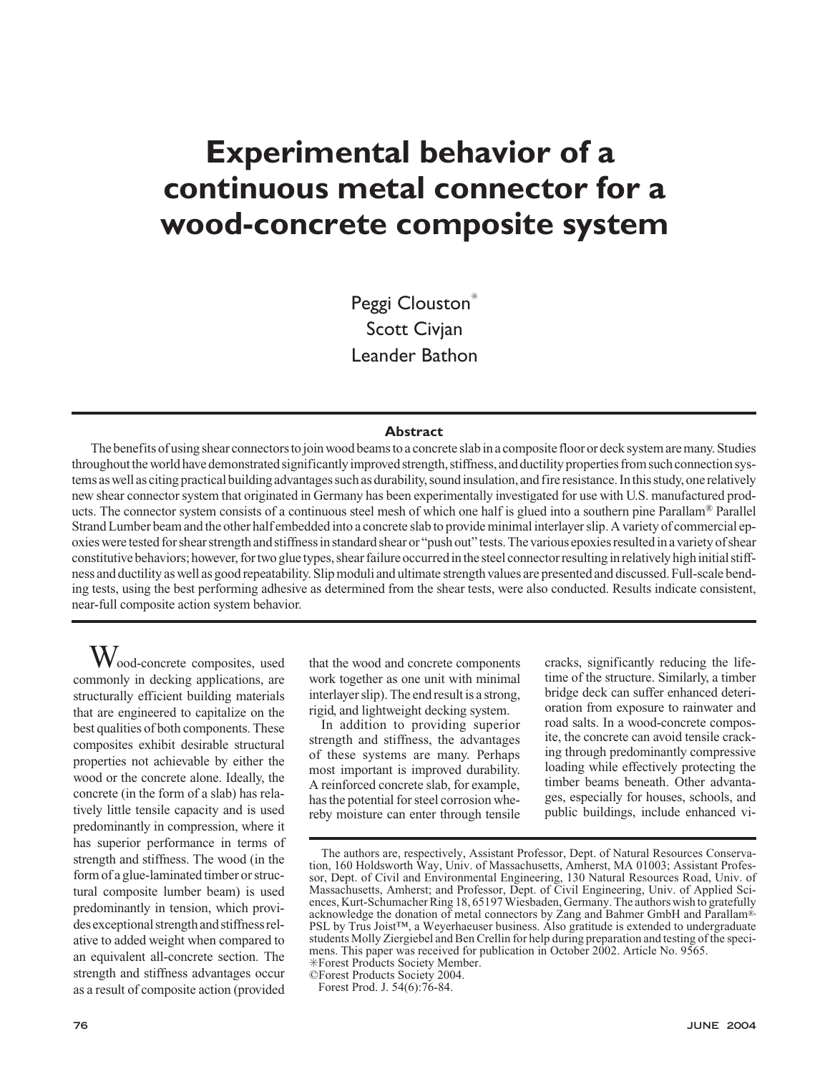# **Experimental behavior of a continuous metal connector for a wood-concrete composite system**

Peggi Clouston<sup>\*</sup> Scott Civjan Leander Bathon

## **Abstract**

The benefits of using shear connectors to join wood beams to a concrete slab in a composite floor or deck system are many. Studies throughout the world have demonstrated significantly improved strength, stiffness, and ductility properties from such connection systems as well as citing practical building advantages such as durability, sound insulation, and fire resistance. In this study, one relatively new shear connector system that originated in Germany has been experimentally investigated for use with U.S. manufactured products. The connector system consists of a continuous steel mesh of which one half is glued into a southern pine Parallam® Parallel Strand Lumber beam and the other half embedded into a concrete slab to provide minimal interlayer slip. A variety of commercial epoxies were tested for shear strength and stiffness in standard shear or "push out" tests. The various epoxies resulted in a variety of shear constitutive behaviors; however, for two glue types, shear failure occurred in the steel connector resulting in relatively high initial stiffness and ductility as well as good repeatability. Slip moduli and ultimate strength values are presented and discussed. Full-scale bending tests, using the best performing adhesive as determined from the shear tests, were also conducted. Results indicate consistent, near-full composite action system behavior.

Wood-concrete composites, used commonly in decking applications, are structurally efficient building materials that are engineered to capitalize on the best qualities of both components. These composites exhibit desirable structural properties not achievable by either the wood or the concrete alone. Ideally, the concrete (in the form of a slab) has relatively little tensile capacity and is used predominantly in compression, where it has superior performance in terms of strength and stiffness. The wood (in the form of a glue-laminated timber or structural composite lumber beam) is used predominantly in tension, which provides exceptional strength and stiffness relative to added weight when compared to an equivalent all-concrete section. The strength and stiffness advantages occur as a result of composite action (provided

that the wood and concrete components work together as one unit with minimal interlayer slip). The end result is a strong, rigid, and lightweight decking system.

In addition to providing superior strength and stiffness, the advantages of these systems are many. Perhaps most important is improved durability. A reinforced concrete slab, for example, has the potential for steel corrosion whereby moisture can enter through tensile cracks, significantly reducing the lifetime of the structure. Similarly, a timber bridge deck can suffer enhanced deterioration from exposure to rainwater and road salts. In a wood-concrete composite, the concrete can avoid tensile cracking through predominantly compressive loading while effectively protecting the timber beams beneath. Other advantages, especially for houses, schools, and public buildings, include enhanced vi-

The authors are, respectively, Assistant Professor, Dept. of Natural Resources Conservation, 160 Holdsworth Way, Univ. of Massachusetts, Amherst, MA 01003; Assistant Professor, Dept. of Civil and Environmental Engineering, 130 Natural Resources Road, Univ. of Massachusetts, Amherst; and Professor, Dept. of Civil Engineering, Univ. of Applied Sciences, Kurt-Schumacher Ring 18, 65197 Wiesbaden, Germany. The authors wish to gratefully acknowledge the donation of metal connectors by Zang and Bahmer GmbH and Parallam®, PSL by Trus Joist™, a Weyerhaeuser business. Also gratitude is extended to undergraduate students Molly Ziergiebel and Ben Crellin for help during preparation and testing of the specimens. This paper was received for publication in October 2002. Article No. 9565. ✳Forest Products Society Member.

<sup>©</sup>Forest Products Society 2004.

Forest Prod. J. 54(6):76-84.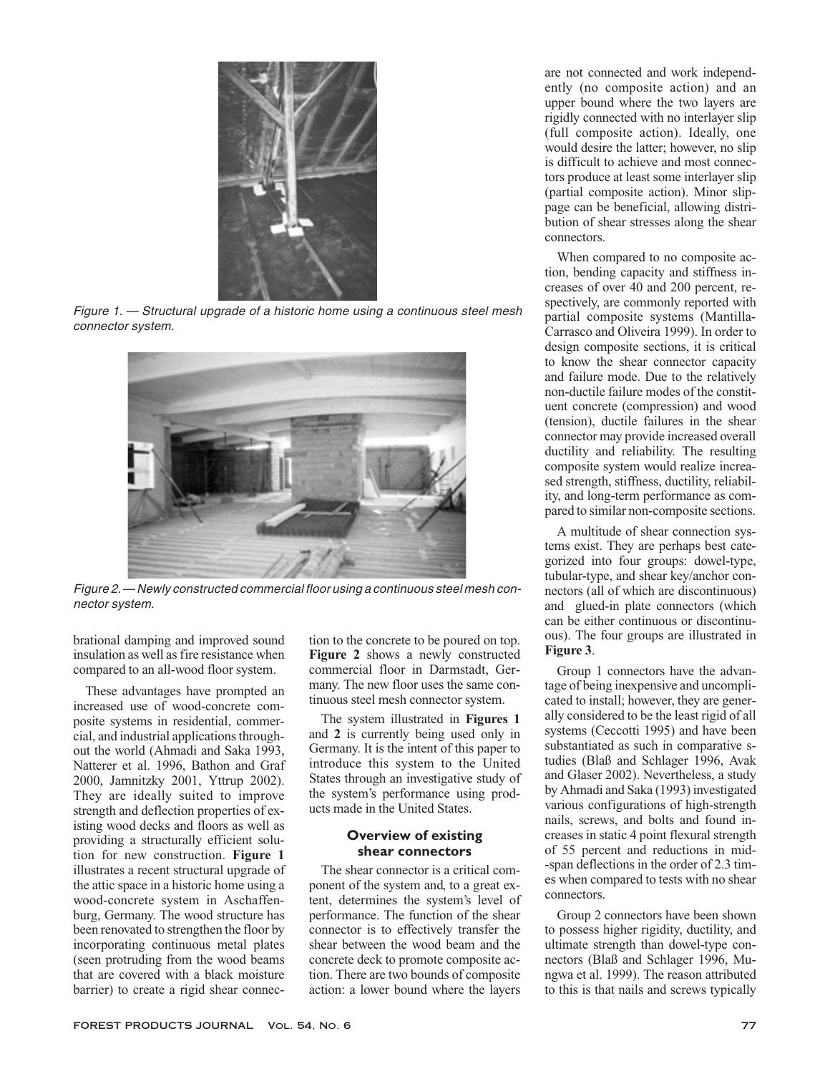

Figure 1. — Structural upgrade of <sup>a</sup> historic home using <sup>a</sup> continuous steel mesh connector system.



Figure 2.— Newly constructed commercial floor using <sup>a</sup> continuous steel mesh connector system.

brational damping and improved sound insulation as well as fire resistance when compared to an all-wood floor system.

These advantages have prompted an increased use of wood-concrete composite systems in residential, commercial, and industrial applications throughout the world (Ahmadi and Saka 1993, Natterer et al. 1996, Bathon and Graf 2000, Jamnitzky 2001, Yttrup 2002). They are ideally suited to improve strength and deflection properties of existing wood decks and floors as well as providing a structurally efficient solution for new construction. **Figure 1** illustrates a recent structural upgrade of the attic space in a historic home using a wood-concrete system in Aschaffenburg, Germany. The wood structure has been renovated to strengthen the floor by incorporating continuous metal plates (seen protruding from the wood beams that are covered with a black moisture barrier) to create a rigid shear connec-

tion to the concrete to be poured on top. **Figure 2** shows a newly constructed commercial floor in Darmstadt, Germany. The new floor uses the same continuous steel mesh connector system.

The system illustrated in **Figures 1** and **2** is currently being used only in Germany. It is the intent of this paper to introduce this system to the United States through an investigative study of the system's performance using products made in the United States.

## **Overview of existing shear connectors**

The shear connector is a critical component of the system and, to a great extent, determines the system's level of performance. The function of the shear connector is to effectively transfer the shear between the wood beam and the concrete deck to promote composite action. There are two bounds of composite action: a lower bound where the layers are not connected and work independently (no composite action) and an upper bound where the two layers are rigidly connected with no interlayer slip (full composite action). Ideally, one would desire the latter; however, no slip is difficult to achieve and most connectors produce at least some interlayer slip (partial composite action). Minor slippage can be beneficial, allowing distribution of shear stresses along the shear connectors.

When compared to no composite action, bending capacity and stiffness increases of over 40 and 200 percent, respectively, are commonly reported with partial composite systems (Mantilla-Carrasco and Oliveira 1999). In order to design composite sections, it is critical to know the shear connector capacity and failure mode. Due to the relatively non-ductile failure modes of the constituent concrete (compression) and wood (tension), ductile failures in the shear connector may provide increased overall ductility and reliability. The resulting composite system would realize increased strength, stiffness, ductility, reliability, and long-term performance as compared to similar non-composite sections.

A multitude of shear connection systems exist. They are perhaps best categorized into four groups: dowel-type, tubular-type, and shear key/anchor connectors (all of which are discontinuous) and glued-in plate connectors (which can be either continuous or discontinuous). The four groups are illustrated in **Figure 3**.

Group 1 connectors have the advantage of being inexpensive and uncomplicated to install; however, they are generally considered to be the least rigid of all systems (Ceccotti 1995) and have been substantiated as such in comparative studies (Blaß and Schlager 1996, Avak and Glaser 2002). Nevertheless, a study by Ahmadi and Saka (1993) investigated various configurations of high-strength nails, screws, and bolts and found increases in static 4 point flexural strength of 55 percent and reductions in mid- -span deflections in the order of 2.3 times when compared to tests with no shear connectors.

Group 2 connectors have been shown to possess higher rigidity, ductility, and ultimate strength than dowel-type connectors (Blaß and Schlager 1996, Mungwa et al. 1999). The reason attributed to this is that nails and screws typically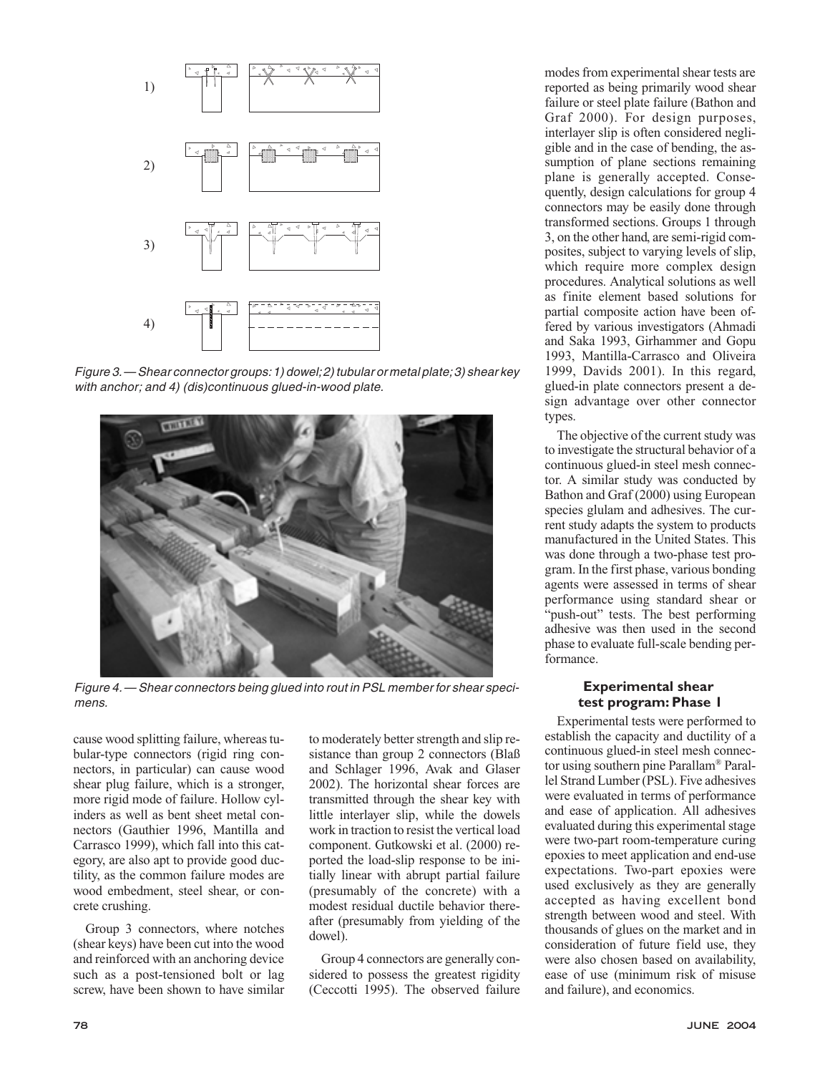

Figure 3.— Shear connector groups:1) dowel;2) tubular or metal plate;3) shear key with anchor; and 4) (dis)continuous glued-in-wood plate.



Figure 4.— Shear connectors being glued into rout in PSL member for shear specimens.

cause wood splitting failure, whereas tubular-type connectors (rigid ring connectors, in particular) can cause wood shear plug failure, which is a stronger, more rigid mode of failure. Hollow cylinders as well as bent sheet metal connectors (Gauthier 1996, Mantilla and Carrasco 1999), which fall into this category, are also apt to provide good ductility, as the common failure modes are wood embedment, steel shear, or concrete crushing.

Group 3 connectors, where notches (shear keys) have been cut into the wood and reinforced with an anchoring device such as a post-tensioned bolt or lag screw, have been shown to have similar to moderately better strength and slip resistance than group 2 connectors (Blaß and Schlager 1996, Avak and Glaser 2002). The horizontal shear forces are transmitted through the shear key with little interlayer slip, while the dowels work in traction to resist the vertical load component. Gutkowski et al. (2000) reported the load-slip response to be initially linear with abrupt partial failure (presumably of the concrete) with a modest residual ductile behavior thereafter (presumably from yielding of the dowel).

Group 4 connectors are generally considered to possess the greatest rigidity (Ceccotti 1995). The observed failure

modes from experimental shear tests are reported as being primarily wood shear failure or steel plate failure (Bathon and Graf 2000). For design purposes, interlayer slip is often considered negligible and in the case of bending, the assumption of plane sections remaining plane is generally accepted. Consequently, design calculations for group 4 connectors may be easily done through transformed sections. Groups 1 through 3, on the other hand, are semi-rigid composites, subject to varying levels of slip, which require more complex design procedures. Analytical solutions as well as finite element based solutions for partial composite action have been offered by various investigators (Ahmadi and Saka 1993, Girhammer and Gopu 1993, Mantilla-Carrasco and Oliveira 1999, Davids 2001). In this regard, glued-in plate connectors present a design advantage over other connector types.

The objective of the current study was to investigate the structural behavior of a continuous glued-in steel mesh connector. A similar study was conducted by Bathon and Graf (2000) using European species glulam and adhesives. The current study adapts the system to products manufactured in the United States. This was done through a two-phase test program. In the first phase, various bonding agents were assessed in terms of shear performance using standard shear or "push-out" tests. The best performing adhesive was then used in the second phase to evaluate full-scale bending performance.

## **Experimental shear test program: Phase 1**

Experimental tests were performed to establish the capacity and ductility of a continuous glued-in steel mesh connector using southern pine Parallam® Parallel Strand Lumber (PSL). Five adhesives were evaluated in terms of performance and ease of application. All adhesives evaluated during this experimental stage were two-part room-temperature curing epoxies to meet application and end-use expectations. Two-part epoxies were used exclusively as they are generally accepted as having excellent bond strength between wood and steel. With thousands of glues on the market and in consideration of future field use, they were also chosen based on availability, ease of use (minimum risk of misuse and failure), and economics.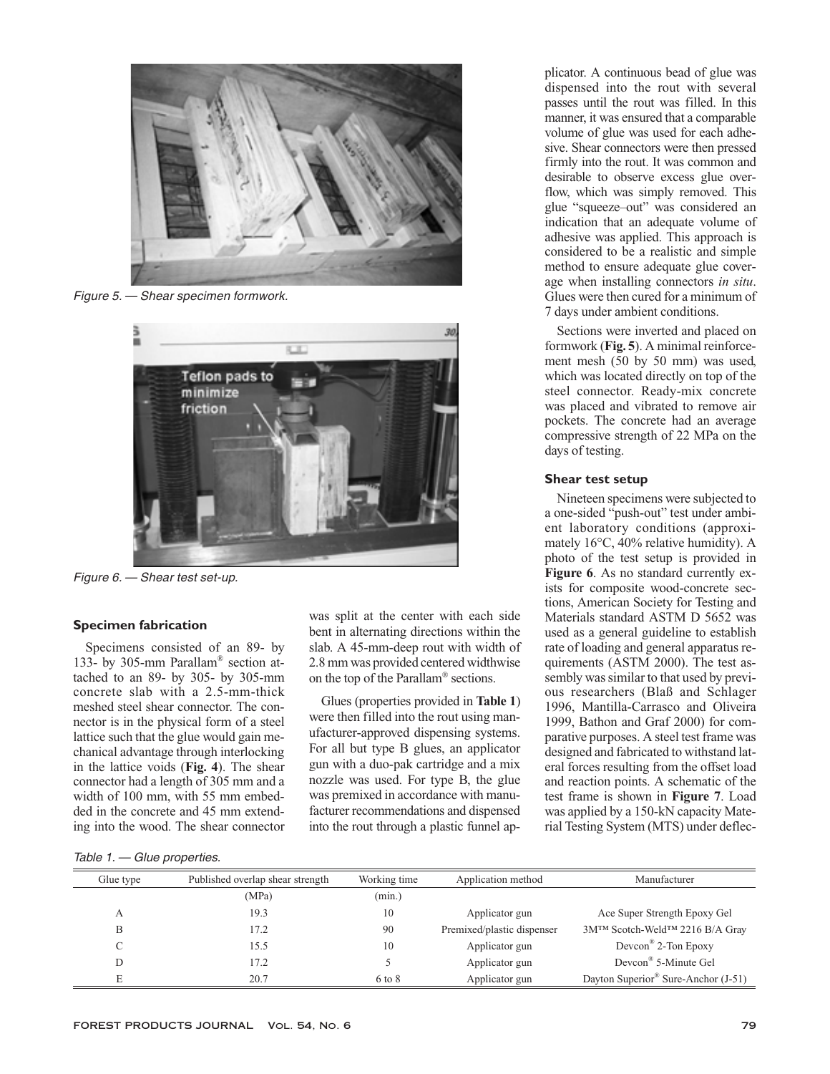

Figure 5. — Shear specimen formwork.



Figure 6. — Shear test set-up.

#### **Specimen fabrication**

Specimens consisted of an 89- by 133- by 305-mm Parallam® section attached to an 89- by 305- by 305-mm concrete slab with a 2.5-mm-thick meshed steel shear connector. The connector is in the physical form of a steel lattice such that the glue would gain mechanical advantage through interlocking in the lattice voids (**Fig. 4**). The shear connector had a length of 305 mm and a width of 100 mm, with 55 mm embedded in the concrete and 45 mm extending into the wood. The shear connector was split at the center with each side bent in alternating directions within the slab. A 45-mm-deep rout with width of 2.8 mm was provided centered widthwise on the top of the Parallam® sections.

Glues (properties provided in **Table 1**) were then filled into the rout using manufacturer-approved dispensing systems. For all but type B glues, an applicator gun with a duo-pak cartridge and a mix nozzle was used. For type B, the glue was premixed in accordance with manufacturer recommendations and dispensed into the rout through a plastic funnel applicator. A continuous bead of glue was dispensed into the rout with several passes until the rout was filled. In this manner, it was ensured that a comparable volume of glue was used for each adhesive. Shear connectors were then pressed firmly into the rout. It was common and desirable to observe excess glue overflow, which was simply removed. This glue "squeeze–out" was considered an indication that an adequate volume of adhesive was applied. This approach is considered to be a realistic and simple method to ensure adequate glue coverage when installing connectors *in situ*. Glues were then cured for a minimum of 7 days under ambient conditions.

Sections were inverted and placed on formwork (**Fig. 5**). A minimal reinforcement mesh (50 by 50 mm) was used, which was located directly on top of the steel connector. Ready-mix concrete was placed and vibrated to remove air pockets. The concrete had an average compressive strength of 22 MPa on the days of testing.

### **Shear test setup**

Nineteen specimens were subjected to a one-sided "push-out" test under ambient laboratory conditions (approximately 16°C, 40% relative humidity). A photo of the test setup is provided in **Figure 6**. As no standard currently exists for composite wood-concrete sections, American Society for Testing and Materials standard ASTM D 5652 was used as a general guideline to establish rate of loading and general apparatus requirements (ASTM 2000). The test assembly was similar to that used by previous researchers (Blaß and Schlager 1996, Mantilla-Carrasco and Oliveira 1999, Bathon and Graf 2000) for comparative purposes. A steel test frame was designed and fabricated to withstand lateral forces resulting from the offset load and reaction points. A schematic of the test frame is shown in **Figure 7**. Load was applied by a 150-kN capacity Material Testing System (MTS) under deflec-

Table 1. — Glue properties.

| Published overlap shear strength<br>Working time<br>Application method | Manufacturer                                    |
|------------------------------------------------------------------------|-------------------------------------------------|
| (min.)                                                                 |                                                 |
| 10<br>Applicator gun                                                   | Ace Super Strength Epoxy Gel                    |
| Premixed/plastic dispenser<br>90                                       | 3M™ Scotch-Weld™ 2216 B/A Gray                  |
| 10<br>Applicator gun                                                   | Dev $con^{\mathscr{B}}$ 2-Ton Epoxy             |
| Applicator gun                                                         | Devcon <sup>®</sup> 5-Minute Gel                |
| Applicator gun<br>6 to 8                                               | Dayton Superior <sup>®</sup> Sure-Anchor (J-51) |
|                                                                        |                                                 |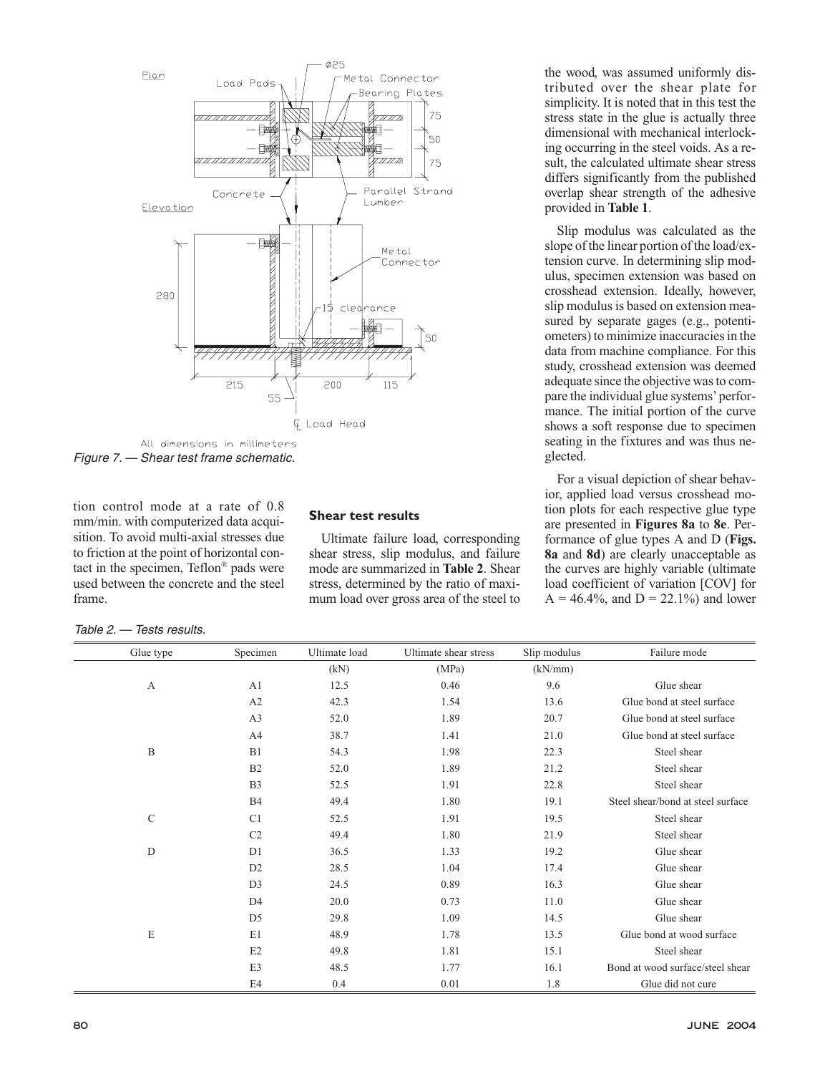

All dimensions in millimeters Figure 7. — Shear test frame schematic.

tion control mode at a rate of 0.8 mm/min. with computerized data acquisition. To avoid multi-axial stresses due to friction at the point of horizontal contact in the specimen, Teflon® pads were used between the concrete and the steel frame.

## **Shear test results**

Ultimate failure load, corresponding shear stress, slip modulus, and failure mode are summarized in **Table 2**. Shear stress, determined by the ratio of maximum load over gross area of the steel to

the wood, was assumed uniformly distributed over the shear plate for simplicity. It is noted that in this test the stress state in the glue is actually three dimensional with mechanical interlocking occurring in the steel voids. As a result, the calculated ultimate shear stress differs significantly from the published overlap shear strength of the adhesive provided in **Table 1**.

Slip modulus was calculated as the slope of the linear portion of the load/extension curve. In determining slip modulus, specimen extension was based on crosshead extension. Ideally, however, slip modulus is based on extension measured by separate gages (e.g., potentiometers) to minimize inaccuracies in the data from machine compliance. For this study, crosshead extension was deemed adequate since the objective was to compare the individual glue systems'performance. The initial portion of the curve shows a soft response due to specimen seating in the fixtures and was thus neglected.

For a visual depiction of shear behavior, applied load versus crosshead motion plots for each respective glue type are presented in **Figures 8a** to **8e**. Performance of glue types A and D (**Figs. 8a** and **8d**) are clearly unacceptable as the curves are highly variable (ultimate load coefficient of variation [COV] for  $A = 46.4\%$ , and  $D = 22.1\%$  and lower

Table 2. — Tests results.

| Glue type     | Specimen       | Ultimate load | Ultimate shear stress | Slip modulus | Failure mode                      |
|---------------|----------------|---------------|-----------------------|--------------|-----------------------------------|
|               |                | (kN)          | (MPa)                 | (kN/mm)      |                                   |
| A             | A1             | 12.5          | 0.46                  | 9.6          | Glue shear                        |
|               | A2             | 42.3          | 1.54                  | 13.6         | Glue bond at steel surface        |
|               | A3             | 52.0          | 1.89                  | 20.7         | Glue bond at steel surface        |
|               | A4             | 38.7          | 1.41                  | 21.0         | Glue bond at steel surface        |
| B             | B1             | 54.3          | 1.98                  | 22.3         | Steel shear                       |
|               | B2             | 52.0          | 1.89                  | 21.2         | Steel shear                       |
|               | B <sub>3</sub> | 52.5          | 1.91                  | 22.8         | Steel shear                       |
|               | <b>B4</b>      | 49.4          | 1.80                  | 19.1         | Steel shear/bond at steel surface |
| $\mathcal{C}$ | C1             | 52.5          | 1.91                  | 19.5         | Steel shear                       |
|               | C2             | 49.4          | 1.80                  | 21.9         | Steel shear                       |
| D             | D <sub>1</sub> | 36.5          | 1.33                  | 19.2         | Glue shear                        |
|               | D <sub>2</sub> | 28.5          | 1.04                  | 17.4         | Glue shear                        |
|               | D <sub>3</sub> | 24.5          | 0.89                  | 16.3         | Glue shear                        |
|               | D <sub>4</sub> | 20.0          | 0.73                  | 11.0         | Glue shear                        |
|               | D <sub>5</sub> | 29.8          | 1.09                  | 14.5         | Glue shear                        |
| $\mathbf E$   | E1             | 48.9          | 1.78                  | 13.5         | Glue bond at wood surface         |
|               | E2             | 49.8          | 1.81                  | 15.1         | Steel shear                       |
|               | E3             | 48.5          | 1.77                  | 16.1         | Bond at wood surface/steel shear  |
|               | E4             | 0.4           | 0.01                  | 1.8          | Glue did not cure                 |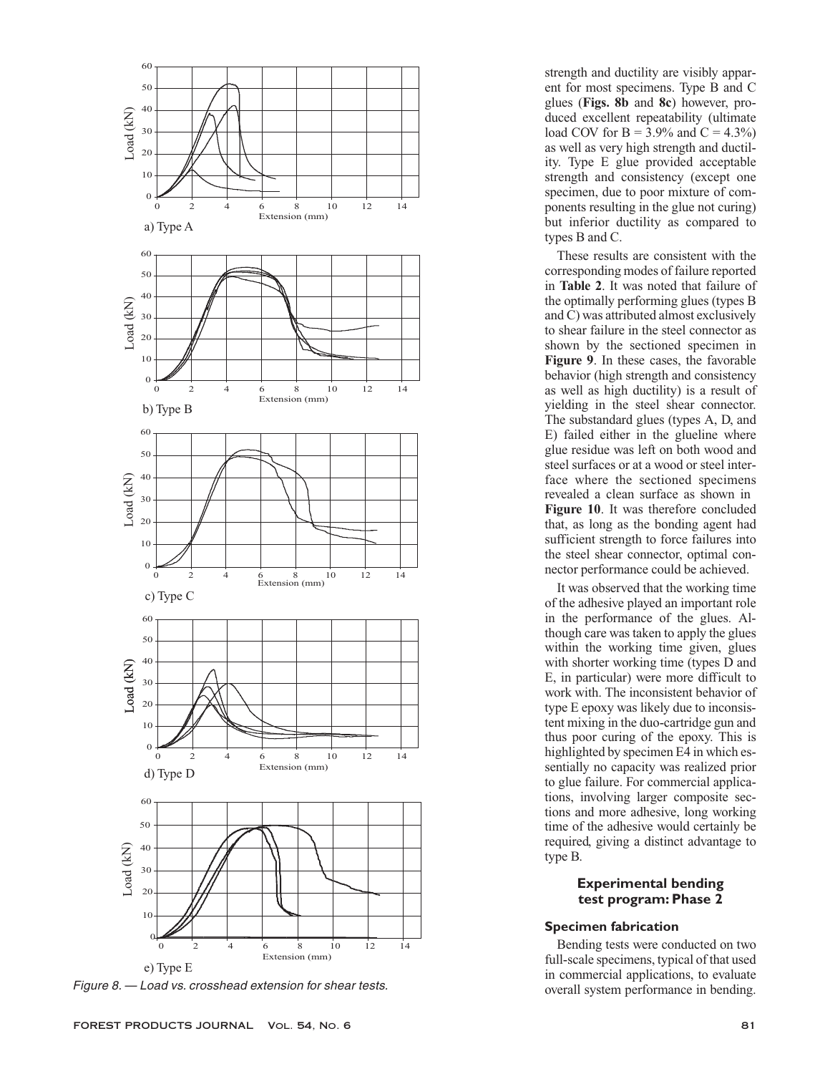

Figure 8. — Load vs. crosshead extension for shear tests.

strength and ductility are visibly apparent for most specimens. Type B and C glues (**Figs. 8b** and **8c**) however, produced excellent repeatability (ultimate load COV for B =  $3.9\%$  and C =  $4.3\%$ ) as well as very high strength and ductility. Type E glue provided acceptable strength and consistency (except one specimen, due to poor mixture of components resulting in the glue not curing) but inferior ductility as compared to types B and C.

These results are consistent with the corresponding modes of failure reported in **Table 2**. It was noted that failure of the optimally performing glues (types B and C) was attributed almost exclusively to shear failure in the steel connector as shown by the sectioned specimen in **Figure 9**. In these cases, the favorable behavior (high strength and consistency as well as high ductility) is a result of yielding in the steel shear connector. The substandard glues (types A, D, and E) failed either in the glueline where glue residue was left on both wood and steel surfaces or at a wood or steel interface where the sectioned specimens revealed a clean surface as shown in **Figure 10**. It was therefore concluded that, as long as the bonding agent had sufficient strength to force failures into the steel shear connector, optimal connector performance could be achieved.

It was observed that the working time of the adhesive played an important role in the performance of the glues. Although care was taken to apply the glues within the working time given, glues with shorter working time (types D and E, in particular) were more difficult to work with. The inconsistent behavior of type E epoxy was likely due to inconsistent mixing in the duo-cartridge gun and thus poor curing of the epoxy. This is highlighted by specimen E4 in which essentially no capacity was realized prior to glue failure. For commercial applications, involving larger composite sections and more adhesive, long working time of the adhesive would certainly be required, giving a distinct advantage to type B.

## **Experimental bending test program: Phase 2**

## **Specimen fabrication**

Bending tests were conducted on two full-scale specimens, typical of that used in commercial applications, to evaluate overall system performance in bending.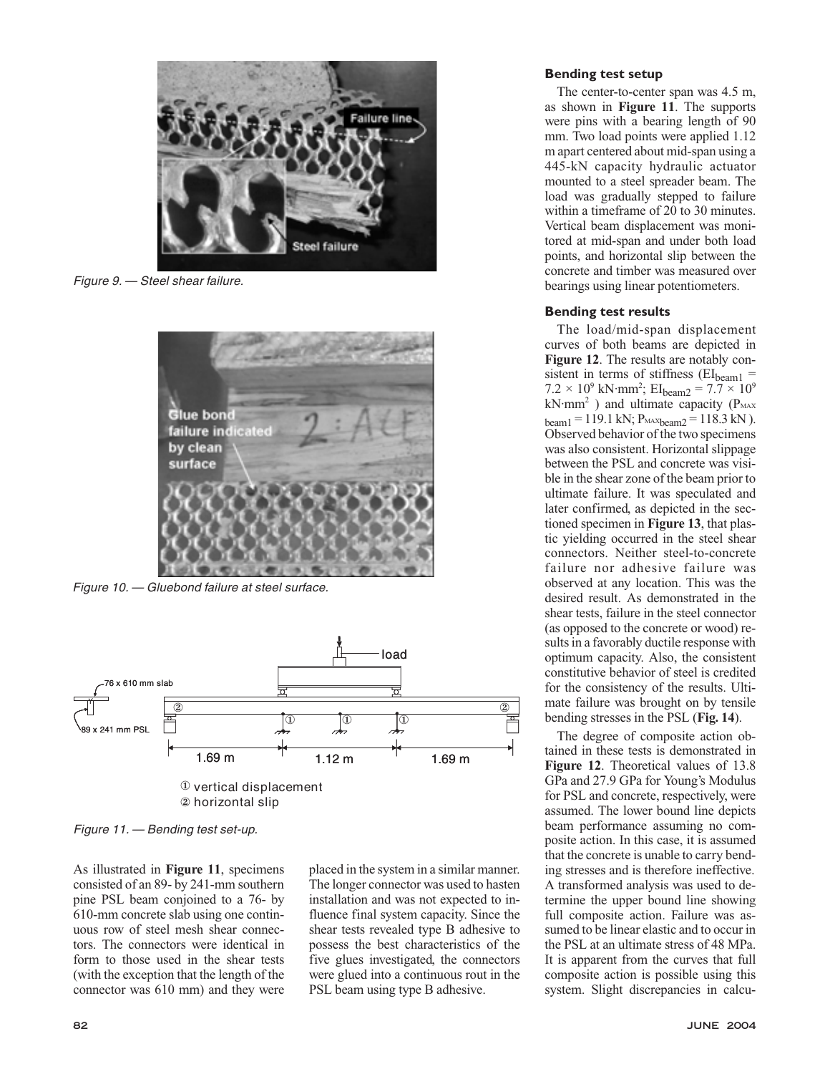

Figure 9. — Steel shear failure.



Figure 10. — Gluebond failure at steel surface.



Figure 11. — Bending test set-up.

As illustrated in **Figure 11**, specimens consisted of an 89- by 241-mm southern pine PSL beam conjoined to a 76- by 610-mm concrete slab using one continuous row of steel mesh shear connectors. The connectors were identical in form to those used in the shear tests (with the exception that the length of the connector was 610 mm) and they were

placed in the system in a similar manner. The longer connector was used to hasten installation and was not expected to influence final system capacity. Since the shear tests revealed type B adhesive to possess the best characteristics of the five glues investigated, the connectors were glued into a continuous rout in the PSL beam using type B adhesive.

## **Bending test setup**

The center-to-center span was 4.5 m, as shown in **Figure 11**. The supports were pins with a bearing length of 90 mm. Two load points were applied 1.12 m apart centered about mid-span using a 445-kN capacity hydraulic actuator mounted to a steel spreader beam. The load was gradually stepped to failure within a timeframe of 20 to 30 minutes. Vertical beam displacement was monitored at mid-span and under both load points, and horizontal slip between the concrete and timber was measured over bearings using linear potentiometers.

### **Bending test results**

The load/mid-span displacement curves of both beams are depicted in **Figure 12**. The results are notably consistent in terms of stiffness ( $EI<sub>beam1</sub>$  =  $7.2 \times 10^9$  kN·mm<sup>2</sup>; EI<sub>beam2</sub> =  $7.7 \times 10^9$ kN·mm<sup>2</sup>) and ultimate capacity ( $P<sub>MAX</sub>$  $_{\text{beam1}}$  = 119.1 kN;  $P_{\text{MAXbeam2}}$  = 118.3 kN). Observed behavior of the two specimens was also consistent. Horizontal slippage between the PSL and concrete was visible in the shear zone of the beam prior to ultimate failure. It was speculated and later confirmed, as depicted in the sectioned specimen in **Figure 13**, that plastic yielding occurred in the steel shear connectors. Neither steel-to-concrete failure nor adhesive failure was observed at any location. This was the desired result. As demonstrated in the shear tests, failure in the steel connector (as opposed to the concrete or wood) results in a favorably ductile response with optimum capacity. Also, the consistent constitutive behavior of steel is credited for the consistency of the results. Ultimate failure was brought on by tensile bending stresses in the PSL (**Fig. 14**).

The degree of composite action obtained in these tests is demonstrated in **Figure 12**. Theoretical values of 13.8 GPa and 27.9 GPa for Young's Modulus for PSL and concrete, respectively, were assumed. The lower bound line depicts beam performance assuming no composite action. In this case, it is assumed that the concrete is unable to carry bending stresses and is therefore ineffective. A transformed analysis was used to determine the upper bound line showing full composite action. Failure was assumed to be linear elastic and to occur in the PSL at an ultimate stress of 48 MPa. It is apparent from the curves that full composite action is possible using this system. Slight discrepancies in calcu-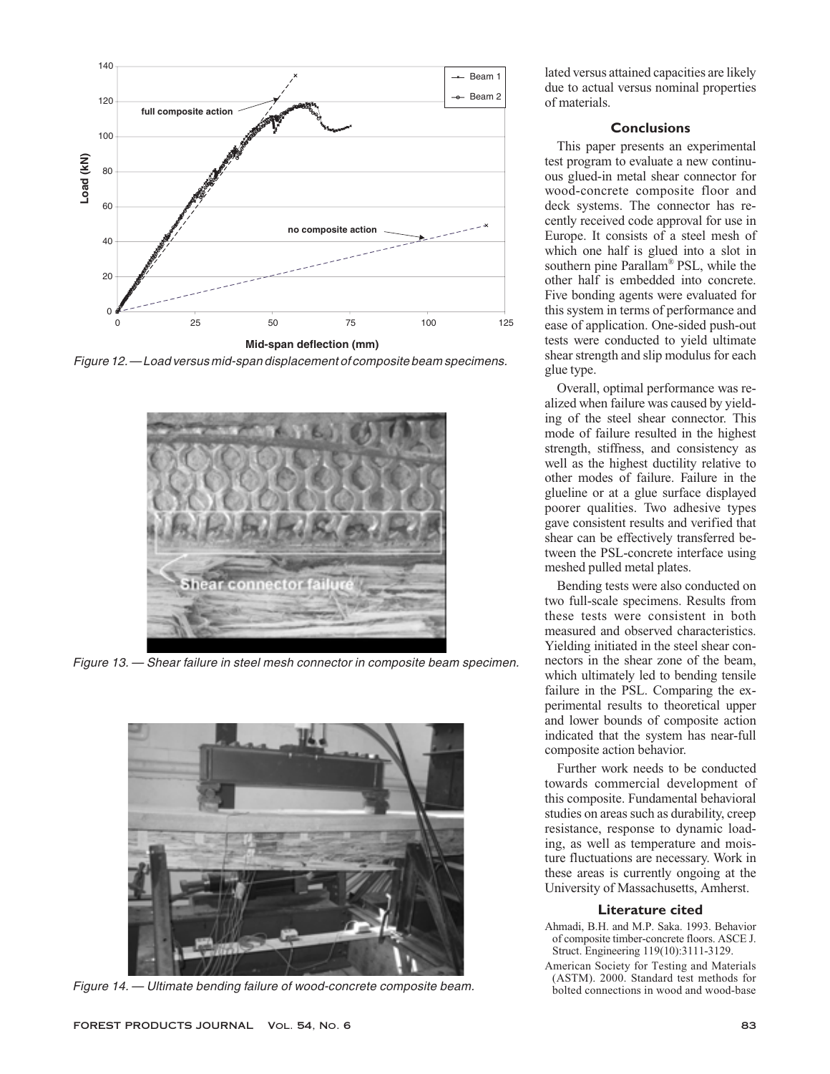

Figure 12.— Load versus mid-span displacement of composite beam specimens.



Figure 13. — Shear failure in steel mesh connector in composite beam specimen.



Figure 14. — Ultimate bending failure of wood-concrete composite beam.

lated versus attained capacities are likely due to actual versus nominal properties of materials.

## **Conclusions**

This paper presents an experimental test program to evaluate a new continuous glued-in metal shear connector for wood-concrete composite floor and deck systems. The connector has recently received code approval for use in Europe. It consists of a steel mesh of which one half is glued into a slot in southern pine Parallam® PSL, while the other half is embedded into concrete. Five bonding agents were evaluated for this system in terms of performance and ease of application. One-sided push-out tests were conducted to yield ultimate shear strength and slip modulus for each glue type.

Overall, optimal performance was realized when failure was caused by yielding of the steel shear connector. This mode of failure resulted in the highest strength, stiffness, and consistency as well as the highest ductility relative to other modes of failure. Failure in the glueline or at a glue surface displayed poorer qualities. Two adhesive types gave consistent results and verified that shear can be effectively transferred between the PSL-concrete interface using meshed pulled metal plates.

Bending tests were also conducted on two full-scale specimens. Results from these tests were consistent in both measured and observed characteristics. Yielding initiated in the steel shear connectors in the shear zone of the beam, which ultimately led to bending tensile failure in the PSL. Comparing the experimental results to theoretical upper and lower bounds of composite action indicated that the system has near-full composite action behavior.

Further work needs to be conducted towards commercial development of this composite. Fundamental behavioral studies on areas such as durability, creep resistance, response to dynamic loading, as well as temperature and moisture fluctuations are necessary. Work in these areas is currently ongoing at the University of Massachusetts, Amherst.

## **Literature cited**

- Ahmadi, B.H. and M.P. Saka. 1993. Behavior of composite timber-concrete floors. ASCE J. Struct. Engineering 119(10):3111-3129.
- American Society for Testing and Materials (ASTM). 2000. Standard test methods for bolted connections in wood and wood-base